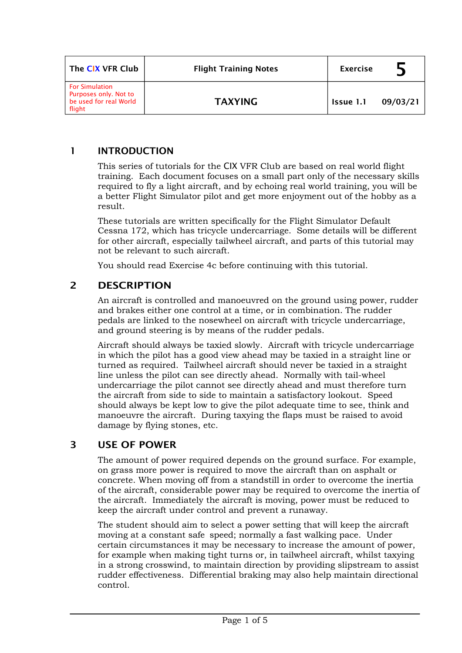| The CIX VFR Club                                                                   | <b>Flight Training Notes</b> | <b>Exercise</b> |          |
|------------------------------------------------------------------------------------|------------------------------|-----------------|----------|
| <b>For Simulation</b><br>Purposes only. Not to<br>be used for real World<br>flight | <b>TAXYING</b>               | Issue 1.1       | 09/03/21 |

### **1 INTRODUCTION**

This series of tutorials for the CIX VFR Club are based on real world flight training. Each document focuses on a small part only of the necessary skills required to fly a light aircraft, and by echoing real world training, you will be a better Flight Simulator pilot and get more enjoyment out of the hobby as a result.

These tutorials are written specifically for the Flight Simulator Default Cessna 172, which has tricycle undercarriage. Some details will be different for other aircraft, especially tailwheel aircraft, and parts of this tutorial may not be relevant to such aircraft.

You should read Exercise 4c before continuing with this tutorial.

## **2 DESCRIPTION**

An aircraft is controlled and manoeuvred on the ground using power, rudder and brakes either one control at a time, or in combination. The rudder pedals are linked to the nosewheel on aircraft with tricycle undercarriage, and ground steering is by means of the rudder pedals.

Aircraft should always be taxied slowly. Aircraft with tricycle undercarriage in which the pilot has a good view ahead may be taxied in a straight line or turned as required. Tailwheel aircraft should never be taxied in a straight line unless the pilot can see directly ahead. Normally with tail-wheel undercarriage the pilot cannot see directly ahead and must therefore turn the aircraft from side to side to maintain a satisfactory lookout. Speed should always be kept low to give the pilot adequate time to see, think and manoeuvre the aircraft. During taxying the flaps must be raised to avoid damage by flying stones, etc.

## **3 USE OF POWER**

The amount of power required depends on the ground surface. For example, on grass more power is required to move the aircraft than on asphalt or concrete. When moving off from a standstill in order to overcome the inertia of the aircraft, considerable power may be required to overcome the inertia of the aircraft. Immediately the aircraft is moving, power must be reduced to keep the aircraft under control and prevent a runaway.

The student should aim to select a power setting that will keep the aircraft moving at a constant safe speed; normally a fast walking pace. Under certain circumstances it may be necessary to increase the amount of power, for example when making tight turns or, in tailwheel aircraft, whilst taxying in a strong crosswind, to maintain direction by providing slipstream to assist rudder effectiveness. Differential braking may also help maintain directional control.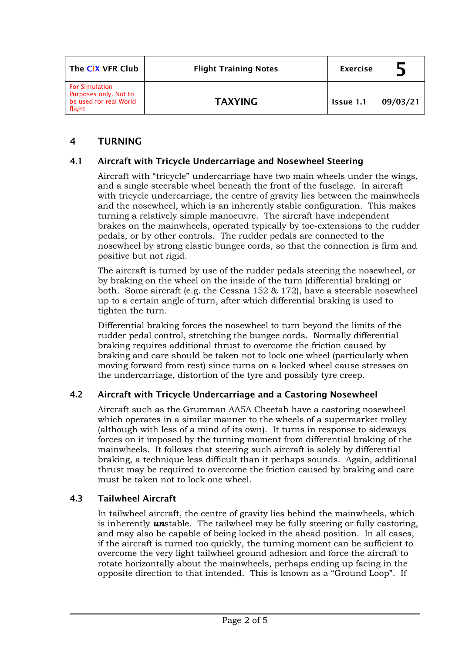| The CIX VFR Club                                                                   | <b>Flight Training Notes</b> | <b>Exercise</b> |          |
|------------------------------------------------------------------------------------|------------------------------|-----------------|----------|
| <b>For Simulation</b><br>Purposes only. Not to<br>be used for real World<br>flight | <b>TAXYING</b>               | Issue 1.1       | 09/03/21 |

# **4 TURNING**

### **4.1 Aircraft with Tricycle Undercarriage and Nosewheel Steering**

Aircraft with "tricycle" undercarriage have two main wheels under the wings, and a single steerable wheel beneath the front of the fuselage. In aircraft with tricycle undercarriage, the centre of gravity lies between the mainwheels and the nosewheel, which is an inherently stable configuration. This makes turning a relatively simple manoeuvre. The aircraft have independent brakes on the mainwheels, operated typically by toe-extensions to the rudder pedals, or by other controls. The rudder pedals are connected to the nosewheel by strong elastic bungee cords, so that the connection is firm and positive but not rigid.

The aircraft is turned by use of the rudder pedals steering the nosewheel, or by braking on the wheel on the inside of the turn (differential braking) or both. Some aircraft (e.g. the Cessna 152 & 172), have a steerable nosewheel up to a certain angle of turn, after which differential braking is used to tighten the turn.

Differential braking forces the nosewheel to turn beyond the limits of the rudder pedal control, stretching the bungee cords. Normally differential braking requires additional thrust to overcome the friction caused by braking and care should be taken not to lock one wheel (particularly when moving forward from rest) since turns on a locked wheel cause stresses on the undercarriage, distortion of the tyre and possibly tyre creep.

### **4.2 Aircraft with Tricycle Undercarriage and a Castoring Nosewheel**

Aircraft such as the Grumman AA5A Cheetah have a castoring nosewheel which operates in a similar manner to the wheels of a supermarket trolley (although with less of a mind of its own). It turns in response to sideways forces on it imposed by the turning moment from differential braking of the mainwheels. It follows that steering such aircraft is solely by differential braking, a technique less difficult than it perhaps sounds. Again, additional thrust may be required to overcome the friction caused by braking and care must be taken not to lock one wheel.

### **4.3 Tailwheel Aircraft**

In tailwheel aircraft, the centre of gravity lies behind the mainwheels, which is inherently *un*stable. The tailwheel may be fully steering or fully castoring, and may also be capable of being locked in the ahead position. In all cases, if the aircraft is turned too quickly, the turning moment can be sufficient to overcome the very light tailwheel ground adhesion and force the aircraft to rotate horizontally about the mainwheels, perhaps ending up facing in the opposite direction to that intended. This is known as a "Ground Loop". If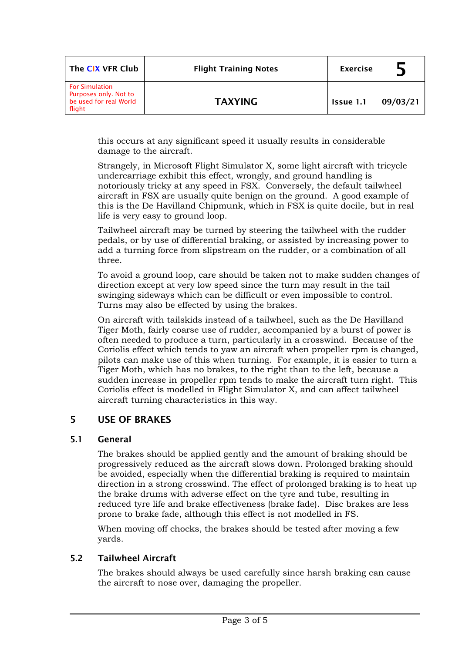| The CIX VFR Club                                                                   | <b>Flight Training Notes</b> | <b>Exercise</b> |          |
|------------------------------------------------------------------------------------|------------------------------|-----------------|----------|
| <b>For Simulation</b><br>Purposes only. Not to<br>be used for real World<br>flight | <b>TAXYING</b>               | Issue 1.1       | 09/03/21 |

this occurs at any significant speed it usually results in considerable damage to the aircraft.

Strangely, in Microsoft Flight Simulator X, some light aircraft with tricycle undercarriage exhibit this effect, wrongly, and ground handling is notoriously tricky at any speed in FSX. Conversely, the default tailwheel aircraft in FSX are usually quite benign on the ground. A good example of this is the De Havilland Chipmunk, which in FSX is quite docile, but in real life is very easy to ground loop.

Tailwheel aircraft may be turned by steering the tailwheel with the rudder pedals, or by use of differential braking, or assisted by increasing power to add a turning force from slipstream on the rudder, or a combination of all three.

To avoid a ground loop, care should be taken not to make sudden changes of direction except at very low speed since the turn may result in the tail swinging sideways which can be difficult or even impossible to control. Turns may also be effected by using the brakes.

On aircraft with tailskids instead of a tailwheel, such as the De Havilland Tiger Moth, fairly coarse use of rudder, accompanied by a burst of power is often needed to produce a turn, particularly in a crosswind. Because of the Coriolis effect which tends to yaw an aircraft when propeller rpm is changed, pilots can make use of this when turning. For example, it is easier to turn a Tiger Moth, which has no brakes, to the right than to the left, because a sudden increase in propeller rpm tends to make the aircraft turn right. This Coriolis effect is modelled in Flight Simulator X, and can affect tailwheel aircraft turning characteristics in this way.

## **5 USE OF BRAKES**

#### **5.1 General**

The brakes should be applied gently and the amount of braking should be progressively reduced as the aircraft slows down. Prolonged braking should be avoided, especially when the differential braking is required to maintain direction in a strong crosswind. The effect of prolonged braking is to heat up the brake drums with adverse effect on the tyre and tube, resulting in reduced tyre life and brake effectiveness (brake fade). Disc brakes are less prone to brake fade, although this effect is not modelled in FS.

When moving off chocks, the brakes should be tested after moving a few yards.

### **5.2 Tailwheel Aircraft**

The brakes should always be used carefully since harsh braking can cause the aircraft to nose over, damaging the propeller.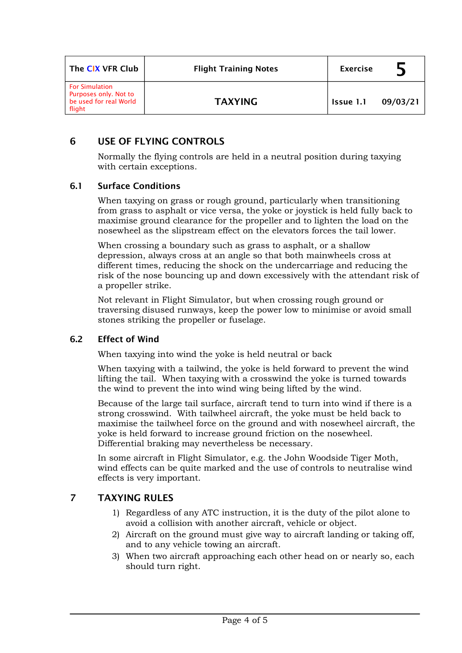| The CIX VFR Club                                                                   | <b>Flight Training Notes</b> | <b>Exercise</b> |          |
|------------------------------------------------------------------------------------|------------------------------|-----------------|----------|
| <b>For Simulation</b><br>Purposes only. Not to<br>be used for real World<br>flight | <b>TAXYING</b>               | Issue 1.1       | 09/03/21 |

# **6 USE OF FLYING CONTROLS**

Normally the flying controls are held in a neutral position during taxying with certain exceptions.

### **6.1 Surface Conditions**

When taxying on grass or rough ground, particularly when transitioning from grass to asphalt or vice versa, the yoke or joystick is held fully back to maximise ground clearance for the propeller and to lighten the load on the nosewheel as the slipstream effect on the elevators forces the tail lower.

When crossing a boundary such as grass to asphalt, or a shallow depression, always cross at an angle so that both mainwheels cross at different times, reducing the shock on the undercarriage and reducing the risk of the nose bouncing up and down excessively with the attendant risk of a propeller strike.

Not relevant in Flight Simulator, but when crossing rough ground or traversing disused runways, keep the power low to minimise or avoid small stones striking the propeller or fuselage.

### **6.2 Effect of Wind**

When taxying into wind the yoke is held neutral or back

When taxying with a tailwind, the yoke is held forward to prevent the wind lifting the tail. When taxying with a crosswind the yoke is turned towards the wind to prevent the into wind wing being lifted by the wind.

Because of the large tail surface, aircraft tend to turn into wind if there is a strong crosswind. With tailwheel aircraft, the yoke must be held back to maximise the tailwheel force on the ground and with nosewheel aircraft, the yoke is held forward to increase ground friction on the nosewheel. Differential braking may nevertheless be necessary.

In some aircraft in Flight Simulator, e.g. the John Woodside Tiger Moth, wind effects can be quite marked and the use of controls to neutralise wind effects is very important.

## **7 TAXYING RULES**

- 1) Regardless of any ATC instruction, it is the duty of the pilot alone to avoid a collision with another aircraft, vehicle or object.
- 2) Aircraft on the ground must give way to aircraft landing or taking off, and to any vehicle towing an aircraft.
- 3) When two aircraft approaching each other head on or nearly so, each should turn right.